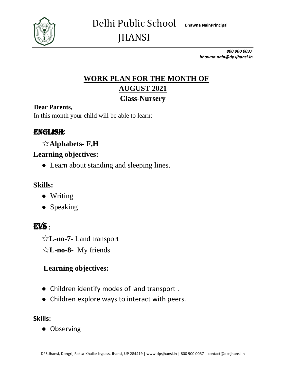

*800 900 0037 bhawna.nain@dpsjhansi.in*

# **WORK PLAN FOR THE MONTH OF AUGUST 2021 Class-Nursery**

#### **Dear Parents,**

In this month your child will be able to learn:

# ENGLISH:

# ☆**Alphabets- F,H**

## **Learning objectives:**

**●** Learn about standing and sleeping lines.

#### **Skills:**

- **●** Writing
- **●** Speaking

# EVS **:**

☆**L-no-7-** Land transport

☆**L-no-8-** My friends

# **Learning objectives:**

- **●** Children identify modes of land transport .
- **●** Children explore ways to interact with peers.

#### **Skills:**

**●** Observing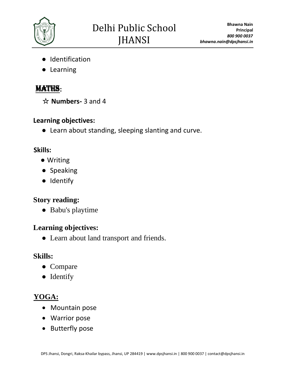

- **●** Identification
- **●** Learning

# MATHS**:**

☆ **Numbers-** 3 and 4

#### **Learning objectives:**

**●** Learn about standing, sleeping slanting and curve.

## **Skills:**

- Writing
- **●** Speaking
- **●** Identify

# **Story reading:**

**●** Babu's playtime

# **Learning objectives:**

**●** Learn about land transport and friends.

## **Skills:**

- **●** Compare
- **●** Identify

# **YOGA:**

- Mountain pose
- Warrior pose
- Butterfly pose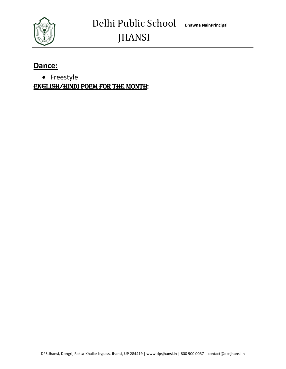

#### **Dance:**

• Freestyle

**ENGLISH/HINDI POEM FOR THE MONTH:**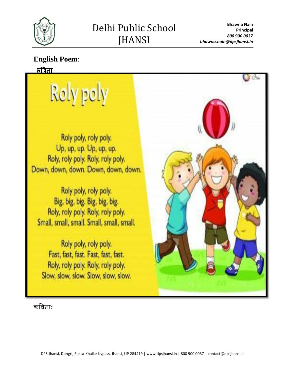

**Bhawna Nain Principal** *800 900 0037 bhawna.nain@dpsjhansi.in*

#### **English Poem**:

#### <u>क्रीिता</u>

# Rely pely

Roly poly, roly poly. Up, up, up. Up, up, up. Roly, roly poly. Roly, roly poly. Down, down, down. Down, down, down.

Roly poly, roly poly. Big, big, big. Big, big, big. Roly, roly poly. Roly, roly poly. Small, small, small. Small, small, small.

Roly poly, roly poly. Fast, fast, fast. Fast, fast, fast. Roly, roly poly. Roly, roly poly. Slow, slow, slow. Slow, slow, slow.

कविता**:**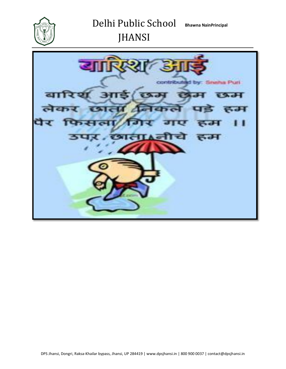

JHANSI

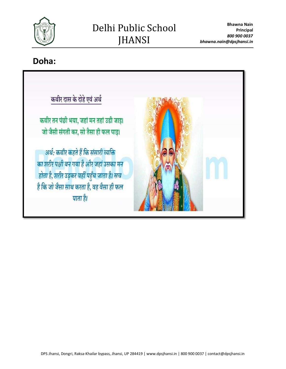

# Delhi Public School JHANSI

**Doha:**